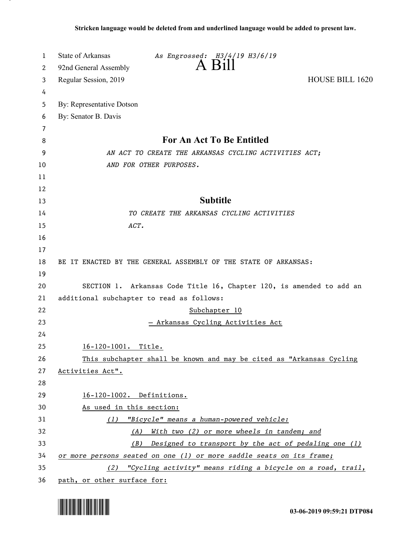| 1  | State of Arkansas<br>As Engrossed: H3/4/19 H3/6/19                   |  |
|----|----------------------------------------------------------------------|--|
| 2  | A Bill<br>92nd General Assembly                                      |  |
| 3  | <b>HOUSE BILL 1620</b><br>Regular Session, 2019                      |  |
| 4  |                                                                      |  |
| 5  | By: Representative Dotson                                            |  |
| 6  | By: Senator B. Davis                                                 |  |
| 7  |                                                                      |  |
| 8  | For An Act To Be Entitled                                            |  |
| 9  | AN ACT TO CREATE THE ARKANSAS CYCLING ACTIVITIES ACT;                |  |
| 10 | AND FOR OTHER PURPOSES.                                              |  |
| 11 |                                                                      |  |
| 12 |                                                                      |  |
| 13 | <b>Subtitle</b>                                                      |  |
| 14 | TO CREATE THE ARKANSAS CYCLING ACTIVITIES                            |  |
| 15 | ACT.                                                                 |  |
| 16 |                                                                      |  |
| 17 |                                                                      |  |
| 18 | BE IT ENACTED BY THE GENERAL ASSEMBLY OF THE STATE OF ARKANSAS:      |  |
| 19 |                                                                      |  |
| 20 | SECTION 1. Arkansas Code Title 16, Chapter 120, is amended to add an |  |
| 21 | additional subchapter to read as follows:                            |  |
| 22 | Subchapter 10                                                        |  |
| 23 | <u>- Arkansas Cycling Activities Act</u>                             |  |
| 24 |                                                                      |  |
| 25 | 16-120-1001. Title.                                                  |  |
| 26 | This subchapter shall be known and may be cited as "Arkansas Cycling |  |
| 27 | Activities Act".                                                     |  |
| 28 |                                                                      |  |
| 29 | 16-120-1002. Definitions.                                            |  |
| 30 | As used in this section:                                             |  |
| 31 | (1) "Bicycle" means a human-powered vehicle:                         |  |
| 32 | (A) With two (2) or more wheels in tandem; and                       |  |
| 33 | (B) Designed to transport by the act of pedaling one (1)             |  |
| 34 | or more persons seated on one (1) or more saddle seats on its frame; |  |
| 35 | (2) "Cycling activity" means riding a bicycle on a road, trail,      |  |
| 36 | path, or other surface for:                                          |  |

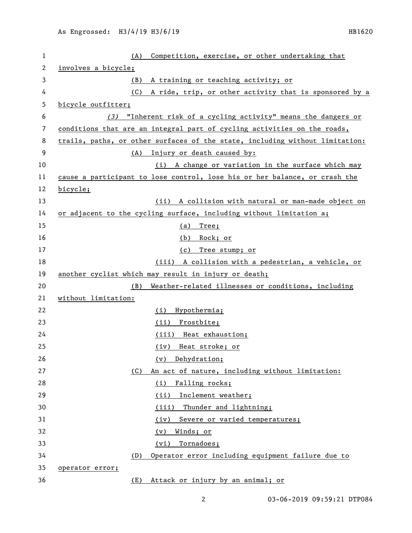| 1  | Competition, exercise, or other undertaking that<br>(A)                      |
|----|------------------------------------------------------------------------------|
| 2  | involves a bicycle;                                                          |
| 3  | A training or teaching activity; or<br>(B)                                   |
| 4  | (C)<br>A ride, trip, or other activity that is sponsored by a                |
| 5  | bicycle outfitter;                                                           |
| 6  | (3) "Inherent risk of a cycling activity" means the dangers or               |
| 7  | conditions that are an integral part of cycling activities on the roads,     |
| 8  | trails, paths, or other surfaces of the state, including without limitation: |
| 9  | (A) Injury or death caused by:                                               |
| 10 | (i) A change or variation in the surface which may                           |
| 11 | cause a participant to lose control, lose his or her balance, or crash the   |
| 12 | bicycle;                                                                     |
| 13 | (ii) A collision with natural or man-made object on                          |
| 14 | or adjacent to the cycling surface, including without limitation a;          |
| 15 | (a) Tree;                                                                    |
| 16 | <u>Rock; or</u><br>(b)                                                       |
| 17 | Tree stump; or<br>(c)                                                        |
| 18 | (iii) A collision with a pedestrian, a vehicle, or                           |
| 19 | another cyclist which may result in injury or death;                         |
| 20 | Weather-related illnesses or conditions, including<br>(B)                    |
| 21 | without limitation:                                                          |
| 22 | Hypothermia;<br>(i)                                                          |
| 23 | (ii)<br>Frostbite;                                                           |
| 24 | (iii) Heat exhaustion;                                                       |
| 25 | Heat stroke; or<br>(iv)                                                      |
| 26 | Dehydration;<br>(v)                                                          |
| 27 | An act of nature, including without limitation:<br>(C)                       |
| 28 | Falling rocks;<br>(i)                                                        |
| 29 | Inclement weather;<br>(ii)                                                   |
| 30 | (iii)<br>Thunder and lightning;                                              |
| 31 | Severe or varied temperatures;<br>(iv)                                       |
| 32 | <u>Winds; or</u><br>(v)                                                      |
| 33 | Tornadoes;<br>(vi)                                                           |
| 34 | Operator error including equipment failure due to<br>(D)                     |
| 35 | operator error;                                                              |
| 36 | Attack or injury by an animal; or<br>(E)                                     |

03-06-2019 09:59:21 DTP084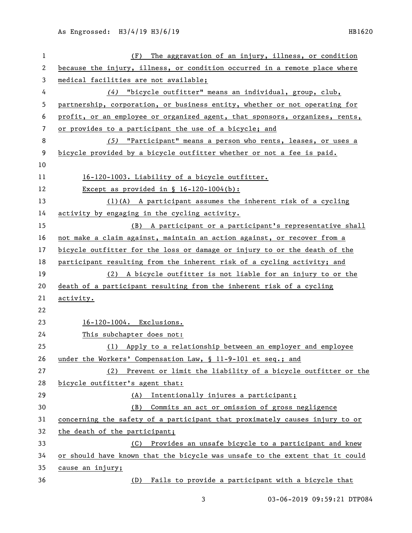| $\mathbf 1$ | The aggravation of an injury, illness, or condition<br>(F)                   |
|-------------|------------------------------------------------------------------------------|
| 2           | because the injury, illness, or condition occurred in a remote place where   |
| 3           | medical facilities are not available;                                        |
| 4           | (4) "bicycle outfitter" means an individual, group, club,                    |
| 5           | partnership, corporation, or business entity, whether or not operating for   |
| 6           | profit, or an employee or organized agent, that sponsors, organizes, rents,  |
| 7           | or provides to a participant the use of a bicycle; and                       |
| 8           | (5) "Participant" means a person who rents, leases, or uses a                |
| 9           | bicycle provided by a bicycle outfitter whether or not a fee is paid.        |
| 10          |                                                                              |
| 11          | 16-120-1003. Liability of a bicycle outfitter.                               |
| 12          | Except as provided in $\S$ 16-120-1004(b):                                   |
| 13          | $(1)(A)$ A participant assumes the inherent risk of a cycling                |
| 14          | activity by engaging in the cycling activity.                                |
| 15          | (B) A participant or a participant's representative shall                    |
| 16          | not make a claim against, maintain an action against, or recover from a      |
| 17          | bicycle outfitter for the loss or damage or injury to or the death of the    |
| 18          | participant resulting from the inherent risk of a cycling activity; and      |
| 19          | (2) A bicycle outfitter is not liable for an injury to or the                |
| 20          | death of a participant resulting from the inherent risk of a cycling         |
| 21          | activity.                                                                    |
| 22          |                                                                              |
| 23          | 16-120-1004. Exclusions.                                                     |
| 24          | This subchapter does not:                                                    |
| 25          | (1) Apply to a relationship between an employer and employee                 |
| 26          | under the Workers' Compensation Law, § 11-9-101 et seq.; and                 |
| 27          | (2) Prevent or limit the liability of a bicycle outfitter or the             |
| 28          | bicycle outfitter's agent that:                                              |
| 29          | Intentionally injures a participant;<br>(A)                                  |
| 30          | Commits an act or omission of gross negligence<br>(B)                        |
| 31          | concerning the safety of a participant that proximately causes injury to or  |
| 32          | the death of the participant;                                                |
| 33          | Provides an unsafe bicycle to a participant and knew<br>(C)                  |
| 34          | or should have known that the bicycle was unsafe to the extent that it could |
| 35          | cause an injury;                                                             |
| 36          | (D) Fails to provide a participant with a bicycle that                       |

03-06-2019 09:59:21 DTP084